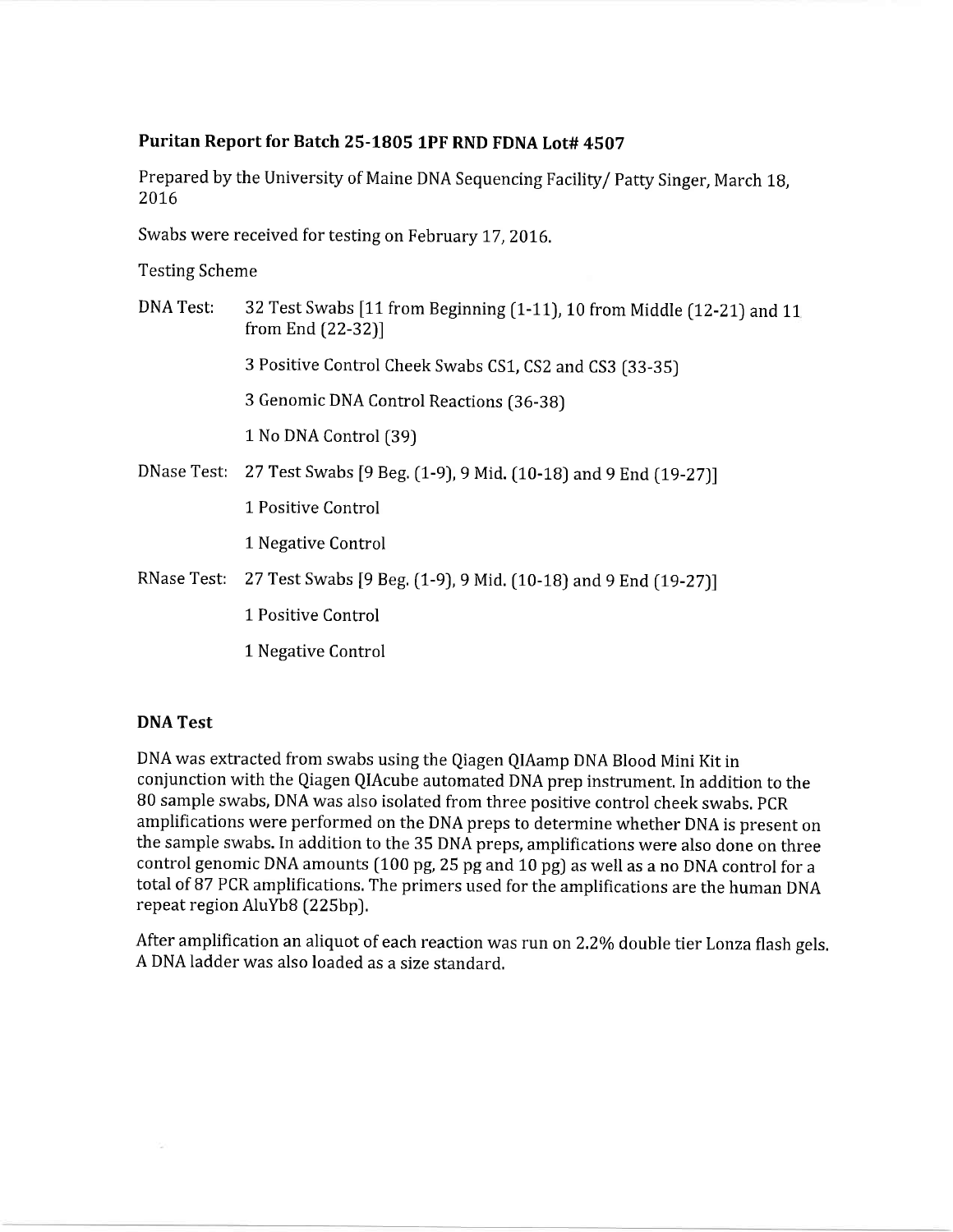## Puritan Report for Batch 25-1805 lPF RND FDNA Lot# 4507

Prepared by the University of Maine DNA Sequencing Facility/ Patty Singer, March 18, 2076

Swabs were received for testing on February 17, 2016.

Testing Scheme

| DNA Test: | 32 Test Swabs [11 from Beginning (1-11), 10 from Middle (12-21) and 11<br>from End (22-32)] |  |  |  |  |  |  |
|-----------|---------------------------------------------------------------------------------------------|--|--|--|--|--|--|
|           | 3 Positive Control Cheek Swabs CS1, CS2 and CS3 (33-35)                                     |  |  |  |  |  |  |
|           | 3 Genomic DNA Control Reactions (36-38)                                                     |  |  |  |  |  |  |
|           | 1 No DNA Control (39)                                                                       |  |  |  |  |  |  |
|           | DNase Test: 27 Test Swabs [9 Beg. (1-9), 9 Mid. (10-18) and 9 End (19-27)]                  |  |  |  |  |  |  |
|           | 1 Positive Control                                                                          |  |  |  |  |  |  |
|           | 1 Negative Control                                                                          |  |  |  |  |  |  |
|           | RNase Test: 27 Test Swabs [9 Beg. (1-9), 9 Mid. (10-18) and 9 End (19-27)]                  |  |  |  |  |  |  |
|           | 1 Positive Control                                                                          |  |  |  |  |  |  |
|           | 1 Negative Control                                                                          |  |  |  |  |  |  |
|           |                                                                                             |  |  |  |  |  |  |

## DNA Test

DNA was extracted from swabs using the Qiagen QIAamp DNA Blood Mini Kit in conjunction with the Qiagen QIAcube automated DNA prep instrument. In addition to the B0 sample swabs, DNA was also isolated from three positive control cheek swabs, PCR amplifications were performed on the DNA preps to determine whether DNA is present on the sample swabs. In addition to the 35 DNA preps, amplifications were also done on three control genomic DNA amounts [100 pg,25 pg and 10 pg) as well as a no DNA control for <sup>a</sup> total of B7 PCR amplifications, The primers used for the amplifications are the human DNA repeat region AIuYbB (225bp).

After amplification an aliquot of each reaction was run on 2.2% double tier Lonza flash gels. A DNA ladder was also loaded as a size standard,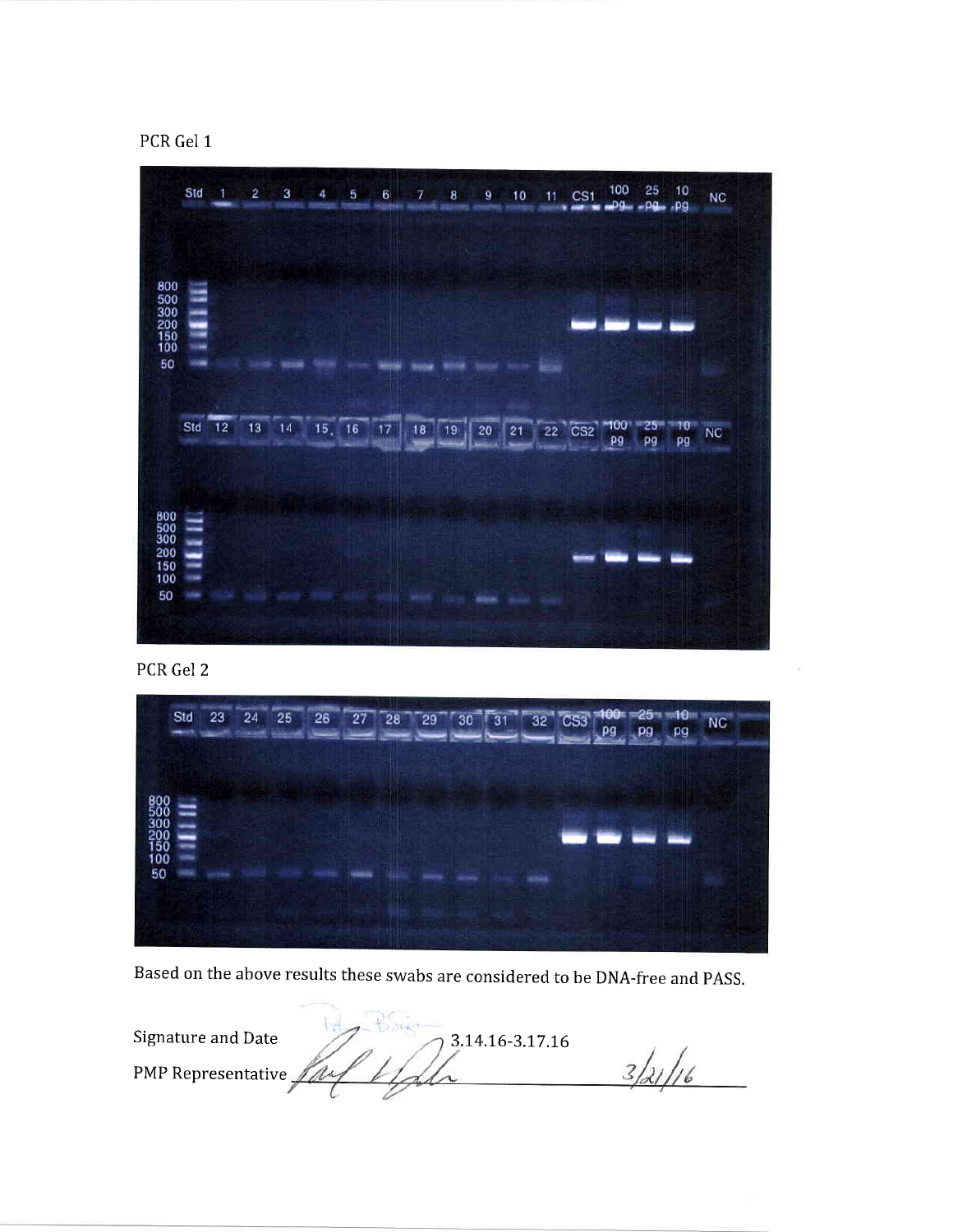



PCR Gel 2



Based on the above results these swabs are considered to be DNA-free and pASS.

| Signature and Date<br>3.14.16-3.17.16 |  |
|---------------------------------------|--|
| PMP Representative $\mathbb Z$        |  |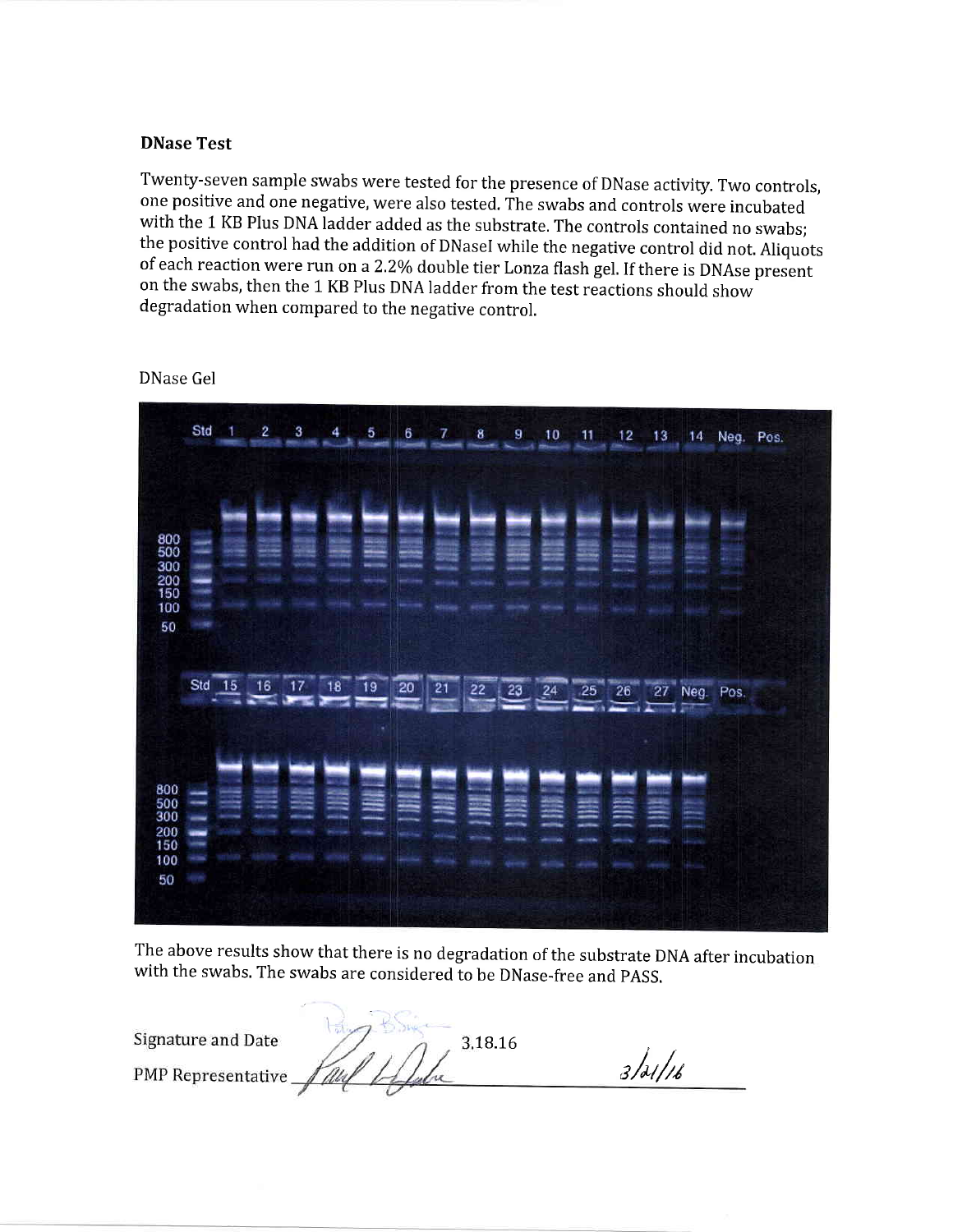## DNase Test

Twenty-seven sample swabs were tested for the presence of DNase activity. Two controls, one positive and one negative, were also tested. The swabs and controls were incubated with the 1 KB Plus DNA ladder added as the substrate. The controls contained no swabs; the positive control had the addition of DNasel while the negative control did not. Aliquots of each reaction were run on a 2.2% double tier Lonza flash gel. If there is DNAse present on the swabs, then the 1 KB Plus DNA ladder from the test reactions should show degradation when compared to the negative control.

|                                                     | Std    | $\mathbf{1}$ | $\overline{2}$ | З  | 4                              | 5  | 6                     | 7  | 8  | 9           | 10 | 11      | 12     | 13                           | 14 Neg. Pos. |  |
|-----------------------------------------------------|--------|--------------|----------------|----|--------------------------------|----|-----------------------|----|----|-------------|----|---------|--------|------------------------------|--------------|--|
| 800<br>500<br>300<br>$\frac{200}{150}$<br>100<br>50 | œ      |              |                |    |                                |    |                       |    |    |             |    |         |        |                              |              |  |
|                                                     | Std 15 |              | 16             | 17 | 18<br><b>The Second Second</b> | 19 | 20<br><b>Contract</b> | 21 | 22 | 23          | 24 | $25$ 26 | $\sim$ | 27 <sub>1</sub><br>r<br>11 M | Neg. Pos.    |  |
| 800<br>$\frac{500}{300}$<br>200<br>150<br>100<br>50 |        |              |                |    | Ξ                              | ۰  |                       |    |    | <b>ASSA</b> | 噩  | ≡       | ≘      | ≘                            |              |  |

DNase Gel

The above results show that there is no degradation of the substrate DNA after incubation with the swabs, The swabs are considered to be DNase-free and PASS.

| Signature and Date | 3.18.16 |         |
|--------------------|---------|---------|
| PMP Representative |         | 3/21/16 |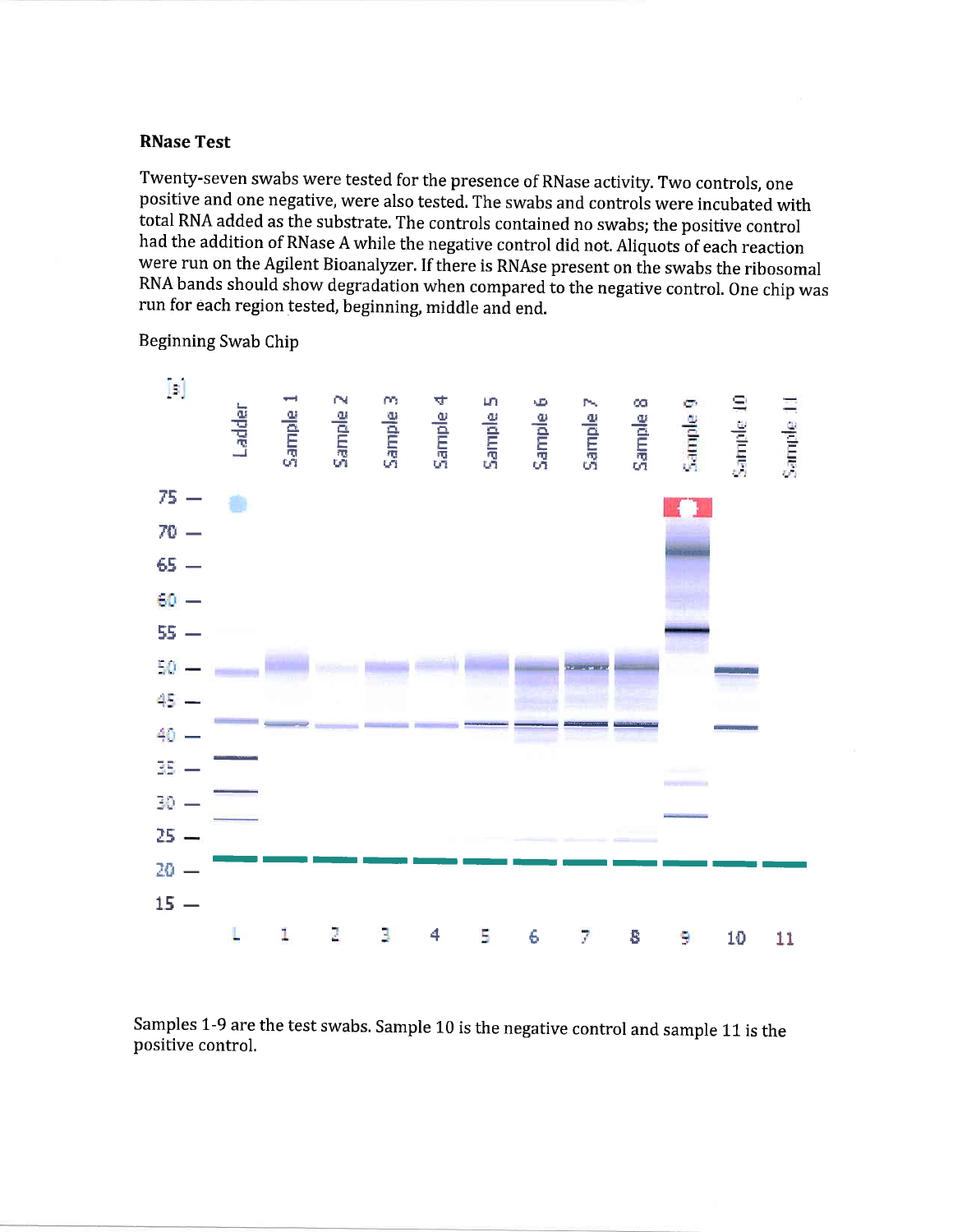## **RNase Test**

Twenty-seven swabs were tested for the presence of RNase activity. Two controls, one positive and one negative, were also tested. The swabs and controls were incubated with total RNA added as the substrate. The controls contained no swabs; the positive control had the addition of RNase A while the negative control did not. Aliquots of each reaction were run on the Agilent Bioanalyzer. If there is RNAse present on the swabs the ribosomal RNA bands should show degradation when compared to the negative control. One chip was run for each region tested, beginning, middle and end.



Beginning Swab Chip

Samples 1-9 are the test swabs. Sample 10 is the negative control and sample 11 is the positive control.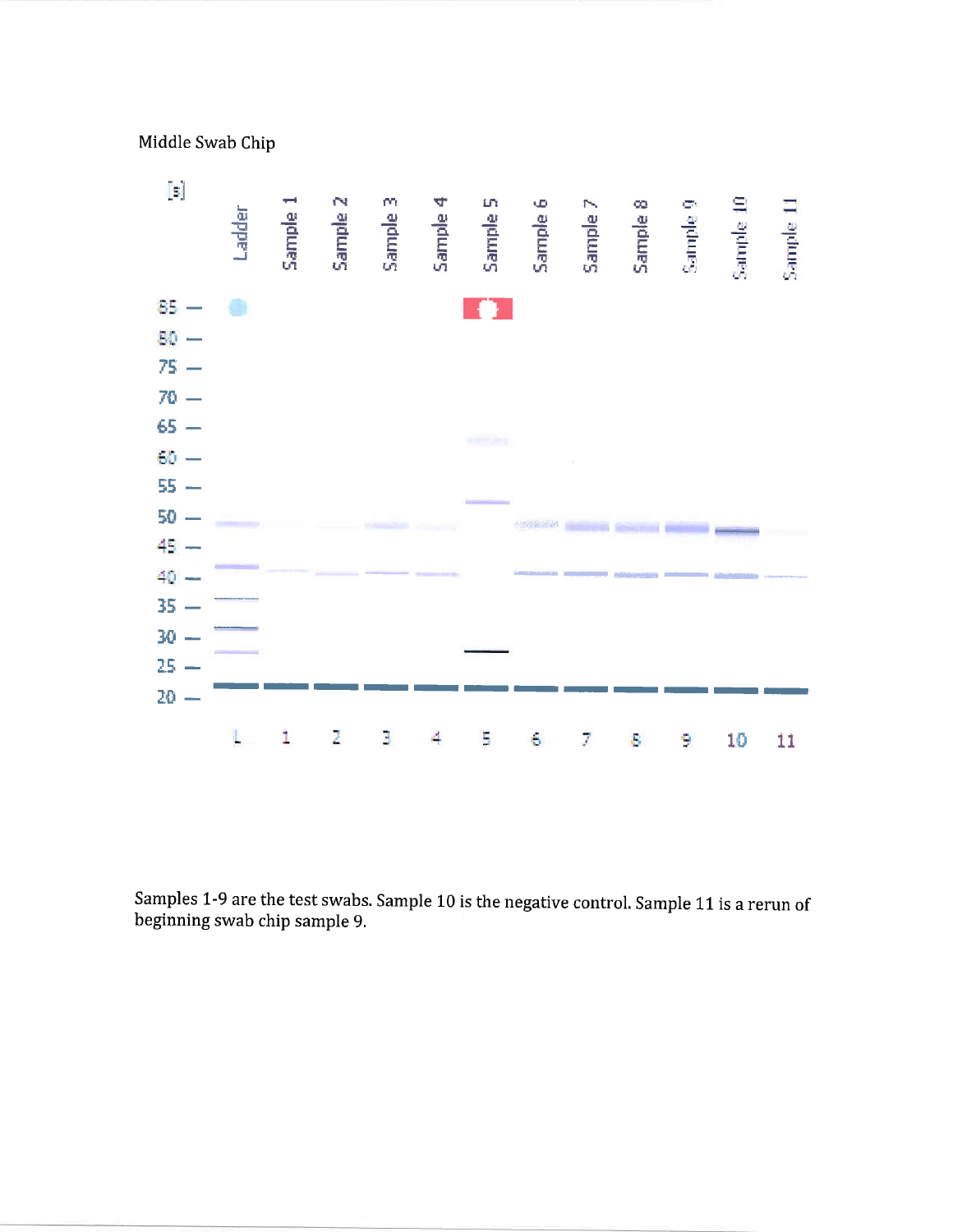Middle Swab Chip



Samples 1-9 are the test swabs. Sample 10 is the negative control. Sample L1 is a rerun of beginning swab chip sample 9,